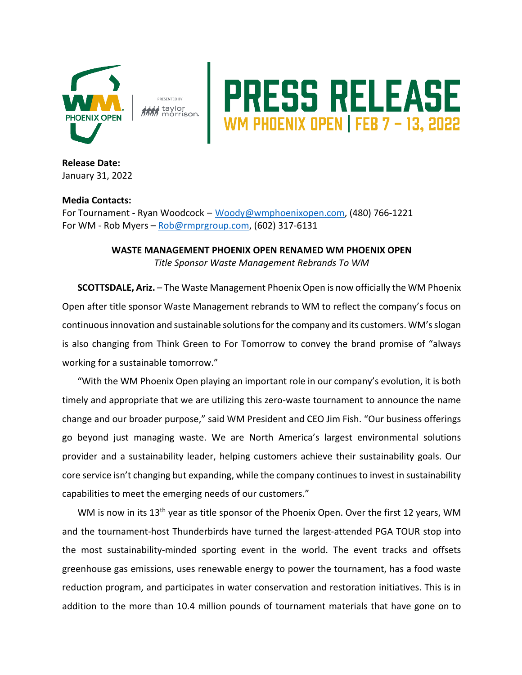

taylor<br>morrison.

## **RESS RELEASE**

**Release Date:**  January 31, 2022

## **Media Contacts:**

For Tournament - Ryan Woodcock – Woody@wmphoenixopen.com, (480) 766-1221 For WM - Rob Myers – Rob@rmprgroup.com, (602) 317-6131

## **WASTE MANAGEMENT PHOENIX OPEN RENAMED WM PHOENIX OPEN** *Title Sponsor Waste Management Rebrands To WM*

**SCOTTSDALE, Ariz.** – The Waste Management Phoenix Open is now officially the WM Phoenix Open after title sponsor Waste Management rebrands to WM to reflect the company's focus on continuous innovation and sustainable solutions for the company and its customers. WM's slogan is also changing from Think Green to For Tomorrow to convey the brand promise of "always working for a sustainable tomorrow."

"With the WM Phoenix Open playing an important role in our company's evolution, it is both timely and appropriate that we are utilizing this zero-waste tournament to announce the name change and our broader purpose," said WM President and CEO Jim Fish. "Our business offerings go beyond just managing waste. We are North America's largest environmental solutions provider and a sustainability leader, helping customers achieve their sustainability goals. Our core service isn't changing but expanding, while the company continues to invest in sustainability capabilities to meet the emerging needs of our customers."

WM is now in its 13<sup>th</sup> year as title sponsor of the Phoenix Open. Over the first 12 years, WM and the tournament-host Thunderbirds have turned the largest-attended PGA TOUR stop into the most sustainability-minded sporting event in the world. The event tracks and offsets greenhouse gas emissions, uses renewable energy to power the tournament, has a food waste reduction program, and participates in water conservation and restoration initiatives. This is in addition to the more than 10.4 million pounds of tournament materials that have gone on to